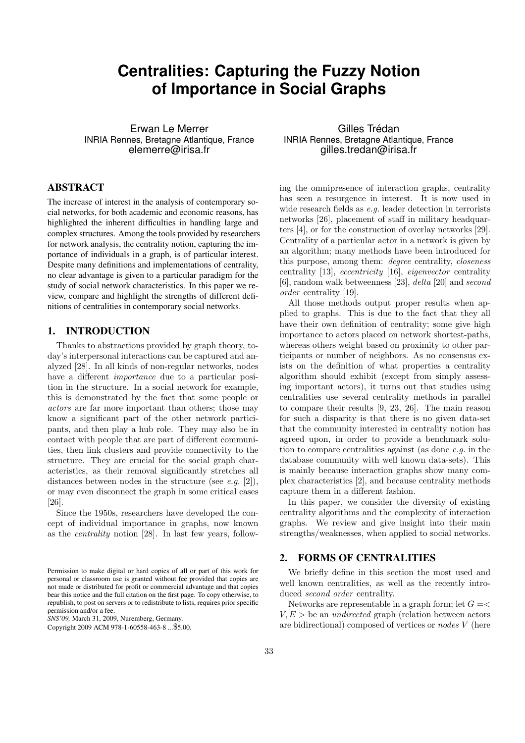# **Centralities: Capturing the Fuzzy Notion of Importance in Social Graphs**

Erwan Le Merrer INRIA Rennes, Bretagne Atlantique, France elemerre@irisa.fr

# ABSTRACT

The increase of interest in the analysis of contemporary social networks, for both academic and economic reasons, has highlighted the inherent difficulties in handling large and complex structures. Among the tools provided by researchers for network analysis, the centrality notion, capturing the importance of individuals in a graph, is of particular interest. Despite many definitions and implementations of centrality, no clear advantage is given to a particular paradigm for the study of social network characteristics. In this paper we review, compare and highlight the strengths of different definitions of centralities in contemporary social networks.

## 1. INTRODUCTION

Thanks to abstractions provided by graph theory, today's interpersonal interactions can be captured and analyzed [28]. In all kinds of non-regular networks, nodes have a different *importance* due to a particular position in the structure. In a social network for example, this is demonstrated by the fact that some people or actors are far more important than others; those may know a significant part of the other network participants, and then play a hub role. They may also be in contact with people that are part of different communities, then link clusters and provide connectivity to the structure. They are crucial for the social graph characteristics, as their removal significantly stretches all distances between nodes in the structure (see  $e.g.$  [2]), or may even disconnect the graph in some critical cases [26].

Since the 1950s, researchers have developed the concept of individual importance in graphs, now known as the centrality notion [28]. In last few years, follow-

Gilles Trédan INRIA Rennes, Bretagne Atlantique, France gilles.tredan@irisa.fr

ing the omnipresence of interaction graphs, centrality has seen a resurgence in interest. It is now used in wide research fields as e.g. leader detection in terrorists networks [26], placement of staff in military headquarters [4], or for the construction of overlay networks [29]. Centrality of a particular actor in a network is given by an algorithm; many methods have been introduced for this purpose, among them: degree centrality, closeness centrality [13], eccentricity [16], eigenvector centrality [6], random walk betweenness [23], delta [20] and second order centrality [19].

All those methods output proper results when applied to graphs. This is due to the fact that they all have their own definition of centrality; some give high importance to actors placed on network shortest-paths, whereas others weight based on proximity to other participants or number of neighbors. As no consensus exists on the definition of what properties a centrality algorithm should exhibit (except from simply assessing important actors), it turns out that studies using centralities use several centrality methods in parallel to compare their results [9, 23, 26]. The main reason for such a disparity is that there is no given data-set that the community interested in centrality notion has agreed upon, in order to provide a benchmark solution to compare centralities against (as done e.g. in the database community with well known data-sets). This is mainly because interaction graphs show many complex characteristics [2], and because centrality methods capture them in a different fashion.

In this paper, we consider the diversity of existing centrality algorithms and the complexity of interaction graphs. We review and give insight into their main strengths/weaknesses, when applied to social networks.

#### 2. FORMS OF CENTRALITIES

We briefly define in this section the most used and well known centralities, as well as the recently introduced *second* order centrality.

Networks are representable in a graph form; let  $G = \leq$  $V, E >$  be an *undirected* graph (relation between actors are bidirectional) composed of vertices or nodes V (here

Permission to make digital or hard copies of all or part of this work for personal or classroom use is granted without fee provided that copies are not made or distributed for profit or commercial advantage and that copies bear this notice and the full citation on the first page. To copy otherwise, to republish, to post on servers or to redistribute to lists, requires prior specific permission and/or a fee.

*SNS'09,* March 31, 2009, Nuremberg, Germany.

Copyright 2009 ACM 978-1-60558-463-8 ...\$5.00.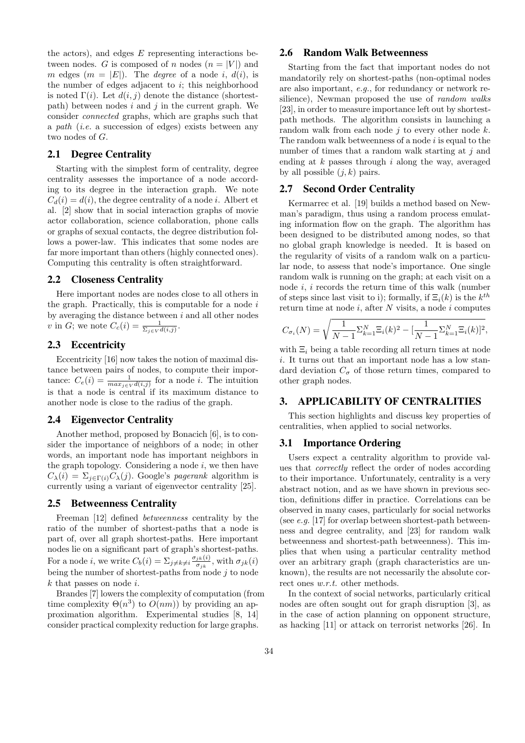the actors), and edges  $E$  representing interactions between nodes. G is composed of n nodes  $(n = |V|)$  and m edges  $(m = |E|)$ . The *degree* of a node *i*,  $d(i)$ , is the number of edges adjacent to  $i$ ; this neighborhood is noted  $\Gamma(i)$ . Let  $d(i, j)$  denote the distance (shortestpath) between nodes  $i$  and  $j$  in the current graph. We consider connected graphs, which are graphs such that a path (i.e. a succession of edges) exists between any two nodes of G.

#### 2.1 Degree Centrality

Starting with the simplest form of centrality, degree centrality assesses the importance of a node according to its degree in the interaction graph. We note  $C_d(i) = d(i)$ , the degree centrality of a node *i*. Albert et al. [2] show that in social interaction graphs of movie actor collaboration, science collaboration, phone calls or graphs of sexual contacts, the degree distribution follows a power-law. This indicates that some nodes are far more important than others (highly connected ones). Computing this centrality is often straightforward.

#### 2.2 Closeness Centrality

Here important nodes are nodes close to all others in the graph. Practically, this is computable for a node  $i$ by averaging the distance between  $i$  and all other nodes v in G; we note  $C_c(i) = \frac{1}{\sum_{j \in V} d(i,j)}$ .

## 2.3 Eccentricity

Eccentricity [16] now takes the notion of maximal distance between pairs of nodes, to compute their importance:  $C_e(i) = \frac{1}{\max_{j \in V} d(i,j)}$  for a node *i*. The intuition is that a node is central if its maximum distance to another node is close to the radius of the graph.

#### 2.4 Eigenvector Centrality

Another method, proposed by Bonacich [6], is to consider the importance of neighbors of a node; in other words, an important node has important neighbors in the graph topology. Considering a node  $i$ , we then have  $C_{\lambda}(i) = \sum_{j \in \Gamma(i)} C_{\lambda}(j)$ . Google's *pagerank* algorithm is currently using a variant of eigenvector centrality [25].

#### 2.5 Betweenness Centrality

Freeman [12] defined betweenness centrality by the ratio of the number of shortest-paths that a node is part of, over all graph shortest-paths. Here important nodes lie on a significant part of graph's shortest-paths. For a node *i*, we write  $C_b(i) = \sum_{j \neq k \neq i} \frac{\sigma_{jk}(i)}{\sigma_{jk}}$  $\frac{1}{\sigma_{jk}}\frac{1}{\sigma_{jk}}$ , with  $\sigma_{jk}(i)$ being the number of shortest-paths from node  $j$  to node  $k$  that passes on node  $i$ .

Brandes [7] lowers the complexity of computation (from time complexity  $\Theta(n^3)$  to  $O(nm)$ ) by providing an approximation algorithm. Experimental studies [8, 14] consider practical complexity reduction for large graphs.

## 2.6 Random Walk Betweenness

Starting from the fact that important nodes do not mandatorily rely on shortest-paths (non-optimal nodes are also important, e.g., for redundancy or network resilience), Newman proposed the use of *random walks* [23], in order to measure importance left out by shortestpath methods. The algorithm consists in launching a random walk from each node  $j$  to every other node  $k$ . The random walk betweenness of a node  $i$  is equal to the number of times that a random walk starting at  $i$  and ending at  $k$  passes through  $i$  along the way, averaged by all possible  $(j, k)$  pairs.

## 2.7 Second Order Centrality

Kermarrec et al. [19] builds a method based on Newman's paradigm, thus using a random process emulating information flow on the graph. The algorithm has been designed to be distributed among nodes, so that no global graph knowledge is needed. It is based on the regularity of visits of a random walk on a particular node, to assess that node's importance. One single random walk is running on the graph; at each visit on a node i, i records the return time of this walk (number of steps since last visit to i); formally, if  $\Xi_i(k)$  is the  $k^{th}$ return time at node  $i$ , after  $N$  visits, a node  $i$  computes

$$
C_{\sigma_i}(N) = \sqrt{\frac{1}{N-1} \Sigma_{k=1}^N \Xi_i(k)^2 - \left[\frac{1}{N-1} \Sigma_{k=1}^N \Xi_i(k)\right]^2},
$$

with  $\Xi_i$  being a table recording all return times at node i. It turns out that an important node has a low standard deviation  $C_{\sigma}$  of those return times, compared to other graph nodes.

### 3. APPLICABILITY OF CENTRALITIES

This section highlights and discuss key properties of centralities, when applied to social networks.

#### 3.1 Importance Ordering

Users expect a centrality algorithm to provide values that correctly reflect the order of nodes according to their importance. Unfortunately, centrality is a very abstract notion, and as we have shown in previous section, definitions differ in practice. Correlations can be observed in many cases, particularly for social networks (see  $e.g.$  [17] for overlap between shortest-path betweenness and degree centrality, and [23] for random walk betweenness and shortest-path betweenness). This implies that when using a particular centrality method over an arbitrary graph (graph characteristics are unknown), the results are not necessarily the absolute correct ones  $w.r.t.$  other methods.

In the context of social networks, particularly critical nodes are often sought out for graph disruption [3], as in the case of action planning on opponent structure, as hacking [11] or attack on terrorist networks [26]. In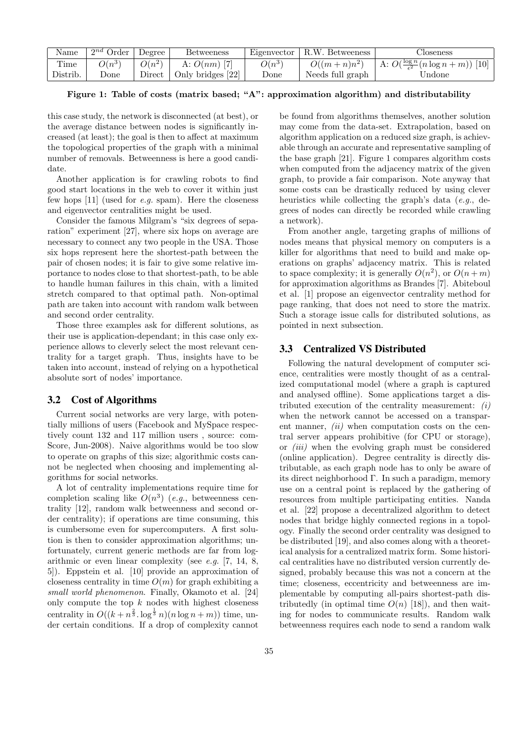| Name     | $2^{nd}$ Order | Degree   | <b>Betweeness</b>       | Eigenvector | R.W. Betweeness  | Jloseness                                            |
|----------|----------------|----------|-------------------------|-------------|------------------|------------------------------------------------------|
| Time     | $O(n^{3})$     | $O(n^2)$ | A: $O(nm)$ [7]          | $O(n^3)$    | $O((m+n)n^2)$    | A: $O(\frac{\log n}{\epsilon^2}(n \log n + m))$ [10] |
| Distrib. | $\rm{Done}$    | Direct   | $\pm$ Only bridges [22] | Done        | Needs full graph | Undone                                               |

Figure 1: Table of costs (matrix based; "A": approximation algorithm) and distributability

this case study, the network is disconnected (at best), or the average distance between nodes is significantly increased (at least); the goal is then to affect at maximum the topological properties of the graph with a minimal number of removals. Betweenness is here a good candidate.

Another application is for crawling robots to find good start locations in the web to cover it within just few hops  $[11]$  (used for e.g. spam). Here the closeness and eigenvector centralities might be used.

Consider the famous Milgram's "six degrees of separation" experiment [27], where six hops on average are necessary to connect any two people in the USA. Those six hops represent here the shortest-path between the pair of chosen nodes; it is fair to give some relative importance to nodes close to that shortest-path, to be able to handle human failures in this chain, with a limited stretch compared to that optimal path. Non-optimal path are taken into account with random walk between and second order centrality.

Those three examples ask for different solutions, as their use is application-dependant; in this case only experience allows to cleverly select the most relevant centrality for a target graph. Thus, insights have to be taken into account, instead of relying on a hypothetical absolute sort of nodes' importance.

#### 3.2 Cost of Algorithms

Current social networks are very large, with potentially millions of users (Facebook and MySpace respectively count 132 and 117 million users , source: com-Score, Jun-2008). Naive algorithms would be too slow to operate on graphs of this size; algorithmic costs cannot be neglected when choosing and implementing algorithms for social networks.

A lot of centrality implementations require time for completion scaling like  $O(n^3)$  (e.g., betweenness centrality [12], random walk betweenness and second order centrality); if operations are time consuming, this is cumbersome even for supercomputers. A first solution is then to consider approximation algorithms; unfortunately, current generic methods are far from logarithmic or even linear complexity (see e.g. [7, 14, 8, 5]). Eppstein et al. [10] provide an approximation of closeness centrality in time  $O(m)$  for graph exhibiting a small world phenomenon. Finally, Okamoto et al. [24] only compute the top  $k$  nodes with highest closeness centrality in  $O((k + n^{\frac{2}{3}} \cdot \log^{\frac{1}{3}} n)(n \log n + m))$  time, under certain conditions. If a drop of complexity cannot

be found from algorithms themselves, another solution may come from the data-set. Extrapolation, based on algorithm application on a reduced size graph, is achievable through an accurate and representative sampling of the base graph [21]. Figure 1 compares algorithm costs when computed from the adjacency matrix of the given graph, to provide a fair comparison. Note anyway that some costs can be drastically reduced by using clever heuristics while collecting the graph's data (e.g., degrees of nodes can directly be recorded while crawling a network).

From another angle, targeting graphs of millions of nodes means that physical memory on computers is a killer for algorithms that need to build and make operations on graphs' adjacency matrix. This is related to space complexity; it is generally  $O(n^2)$ , or  $O(n+m)$ for approximation algorithms as Brandes [7]. Abiteboul et al. [1] propose an eigenvector centrality method for page ranking, that does not need to store the matrix. Such a storage issue calls for distributed solutions, as pointed in next subsection.

#### 3.3 Centralized VS Distributed

Following the natural development of computer science, centralities were mostly thought of as a centralized computational model (where a graph is captured and analysed offline). Some applications target a distributed execution of the centrality measurement:  $(i)$ when the network cannot be accessed on a transparent manner,  $(ii)$  when computation costs on the central server appears prohibitive (for CPU or storage), or (iii) when the evolving graph must be considered (online application). Degree centrality is directly distributable, as each graph node has to only be aware of its direct neighborhood Γ. In such a paradigm, memory use on a central point is replaced by the gathering of resources from multiple participating entities. Nanda et al. [22] propose a decentralized algorithm to detect nodes that bridge highly connected regions in a topology. Finally the second order centrality was designed to be distributed [19], and also comes along with a theoretical analysis for a centralized matrix form. Some historical centralities have no distributed version currently designed, probably because this was not a concern at the time; closeness, eccentricity and betweenness are implementable by computing all-pairs shortest-path distributedly (in optimal time  $O(n)$  [18]), and then waiting for nodes to communicate results. Random walk betweenness requires each node to send a random walk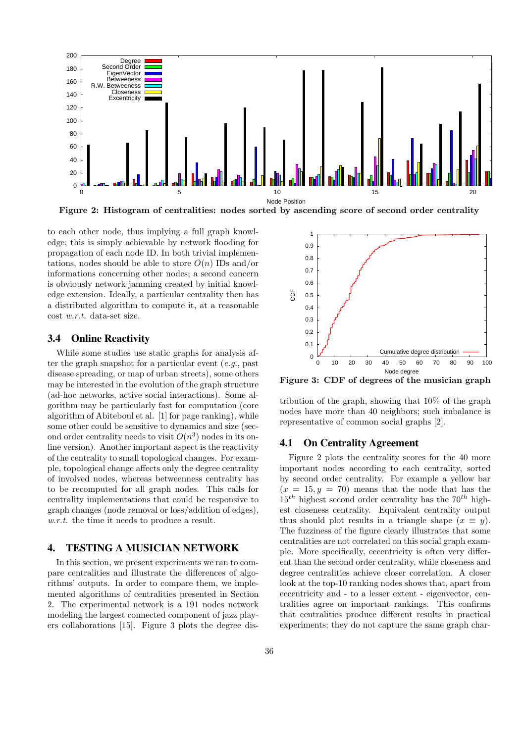

Figure 2: Histogram of centralities: nodes sorted by ascending score of second order centrality

to each other node, thus implying a full graph knowledge; this is simply achievable by network flooding for propagation of each node ID. In both trivial implementations, nodes should be able to store  $O(n)$  IDs and/or informations concerning other nodes; a second concern is obviously network jamming created by initial knowledge extension. Ideally, a particular centrality then has a distributed algorithm to compute it, at a reasonable cost w.r.t. data-set size.

#### 3.4 Online Reactivity

While some studies use static graphs for analysis after the graph snapshot for a particular event  $(e.g.,$  past disease spreading, or map of urban streets), some others may be interested in the evolution of the graph structure (ad-hoc networks, active social interactions). Some algorithm may be particularly fast for computation (core algorithm of Abiteboul et al. [1] for page ranking), while some other could be sensitive to dynamics and size (second order centrality needs to visit  $O(n^3)$  nodes in its online version). Another important aspect is the reactivity of the centrality to small topological changes. For example, topological change affects only the degree centrality of involved nodes, whereas betweenness centrality has to be recomputed for all graph nodes. This calls for centrality implementations that could be responsive to graph changes (node removal or loss/addition of edges), w.r.t. the time it needs to produce a result.

## 4. TESTING A MUSICIAN NETWORK

In this section, we present experiments we ran to compare centralities and illustrate the differences of algorithms' outputs. In order to compare them, we implemented algorithms of centralities presented in Section 2. The experimental network is a 191 nodes network modeling the largest connected component of jazz players collaborations [15]. Figure 3 plots the degree dis-



Figure 3: CDF of degrees of the musician graph

tribution of the graph, showing that 10% of the graph nodes have more than 40 neighbors; such imbalance is representative of common social graphs [2].

#### 4.1 On Centrality Agreement

Figure 2 plots the centrality scores for the 40 more important nodes according to each centrality, sorted by second order centrality. For example a yellow bar  $(x = 15, y = 70)$  means that the node that has the  $15<sup>th</sup>$  highest second order centrality has the  $70<sup>th</sup>$  highest closeness centrality. Equivalent centrality output thus should plot results in a triangle shape  $(x \equiv y)$ . The fuzziness of the figure clearly illustrates that some centralities are not correlated on this social graph example. More specifically, eccentricity is often very different than the second order centrality, while closeness and degree centralities achieve closer correlation. A closer look at the top-10 ranking nodes shows that, apart from eccentricity and - to a lesser extent - eigenvector, centralities agree on important rankings. This confirms that centralities produce different results in practical experiments; they do not capture the same graph char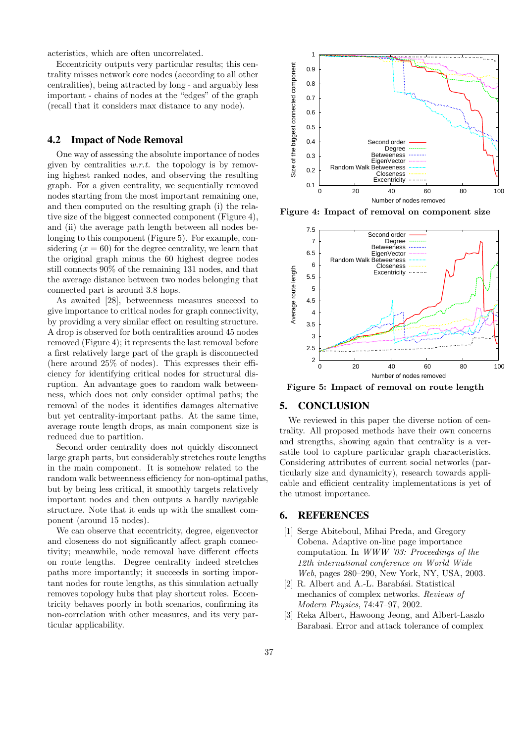acteristics, which are often uncorrelated.

Eccentricity outputs very particular results; this centrality misses network core nodes (according to all other centralities), being attracted by long - and arguably less important - chains of nodes at the "edges" of the graph (recall that it considers max distance to any node).

## 4.2 Impact of Node Removal

One way of assessing the absolute importance of nodes given by centralities  $w.r.t.$  the topology is by removing highest ranked nodes, and observing the resulting graph. For a given centrality, we sequentially removed nodes starting from the most important remaining one, and then computed on the resulting graph (i) the relative size of the biggest connected component (Figure 4), and (ii) the average path length between all nodes belonging to this component (Figure 5). For example, considering  $(x = 60)$  for the degree centrality, we learn that the original graph minus the 60 highest degree nodes still connects 90% of the remaining 131 nodes, and that the average distance between two nodes belonging that connected part is around 3.8 hops.

As awaited [28], betweenness measures succeed to give importance to critical nodes for graph connectivity, by providing a very similar effect on resulting structure. A drop is observed for both centralities around 45 nodes removed (Figure 4); it represents the last removal before a first relatively large part of the graph is disconnected (here around 25% of nodes). This expresses their efficiency for identifying critical nodes for structural disruption. An advantage goes to random walk betweenness, which does not only consider optimal paths; the removal of the nodes it identifies damages alternative but yet centrality-important paths. At the same time, average route length drops, as main component size is reduced due to partition.

Second order centrality does not quickly disconnect large graph parts, but considerably stretches route lengths in the main component. It is somehow related to the random walk betweenness efficiency for non-optimal paths, but by being less critical, it smoothly targets relatively important nodes and then outputs a hardly navigable structure. Note that it ends up with the smallest component (around 15 nodes).

We can observe that eccentricity, degree, eigenvector and closeness do not significantly affect graph connectivity; meanwhile, node removal have different effects on route lengths. Degree centrality indeed stretches paths more importantly; it succeeds in sorting important nodes for route lengths, as this simulation actually removes topology hubs that play shortcut roles. Eccentricity behaves poorly in both scenarios, confirming its non-correlation with other measures, and its very particular applicability.



Figure 4: Impact of removal on component size



Figure 5: Impact of removal on route length

## 5. CONCLUSION

We reviewed in this paper the diverse notion of centrality. All proposed methods have their own concerns and strengths, showing again that centrality is a versatile tool to capture particular graph characteristics. Considering attributes of current social networks (particularly size and dynamicity), research towards applicable and efficient centrality implementations is yet of the utmost importance.

## 6. REFERENCES

- [1] Serge Abiteboul, Mihai Preda, and Gregory Cobena. Adaptive on-line page importance computation. In WWW '03: Proceedings of the 12th international conference on World Wide Web, pages 280–290, New York, NY, USA, 2003.
- [2] R. Albert and A.-L. Barabási. Statistical mechanics of complex networks. Reviews of Modern Physics, 74:47–97, 2002.
- [3] Reka Albert, Hawoong Jeong, and Albert-Laszlo Barabasi. Error and attack tolerance of complex